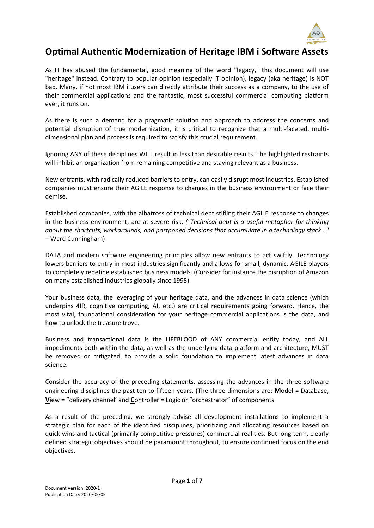

# **Optimal Authentic Modernization of Heritage IBM i Software Assets**

As IT has abused the fundamental, good meaning of the word "legacy," this document will use "heritage" instead. Contrary to popular opinion (especially IT opinion), legacy (aka heritage) is NOT bad. Many, if not most IBM i users can directly attribute their success as a company, to the use of their commercial applications and the fantastic, most successful commercial computing platform ever, it runs on.

As there is such a demand for a pragmatic solution and approach to address the concerns and potential disruption of true modernization, it is critical to recognize that a multi-faceted, multidimensional plan and process is required to satisfy this crucial requirement.

Ignoring ANY of these disciplines WILL result in less than desirable results. The highlighted restraints will inhibit an organization from remaining competitive and staying relevant as a business.

New entrants, with radically reduced barriers to entry, can easily disrupt most industries. Established companies must ensure their AGILE response to changes in the business environment or face their demise.

Established companies, with the albatross of technical debt stifling their AGILE response to changes in the business environment, are at severe risk. *("Technical debt is a useful metaphor for thinking about the shortcuts, workarounds, and postponed decisions that accumulate in a technology stack…"* – Ward Cunningham)

DATA and modern software engineering principles allow new entrants to act swiftly. Technology lowers barriers to entry in most industries significantly and allows for small, dynamic, AGILE players to completely redefine established business models. (Consider for instance the disruption of Amazon on many established industries globally since 1995).

Your business data, the leveraging of your heritage data, and the advances in data science (which underpins 4IR, cognitive computing, AI, etc.) are critical requirements going forward. Hence, the most vital, foundational consideration for your heritage commercial applications is the data, and how to unlock the treasure trove.

Business and transactional data is the LIFEBLOOD of ANY commercial entity today, and ALL impediments both within the data, as well as the underlying data platform and architecture, MUST be removed or mitigated, to provide a solid foundation to implement latest advances in data science.

Consider the accuracy of the preceding statements, assessing the advances in the three software engineering disciplines the past ten to fifteen years. (The three dimensions are: **M**odel = Database, **V**iew = "delivery channel' and **C**ontroller = Logic or "orchestrator" of components

As a result of the preceding, we strongly advise all development installations to implement a strategic plan for each of the identified disciplines, prioritizing and allocating resources based on quick wins and tactical (primarily competitive pressures) commercial realities. But long term, clearly defined strategic objectives should be paramount throughout, to ensure continued focus on the end objectives.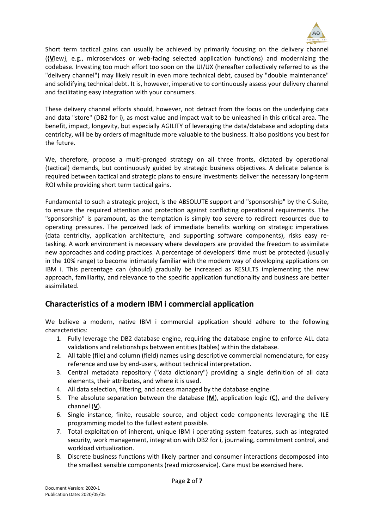

Short term tactical gains can usually be achieved by primarily focusing on the delivery channel ({**V**iew}, e.g., microservices or web-facing selected application functions) and modernizing the codebase. Investing too much effort too soon on the UI/UX (hereafter collectively referred to as the "delivery channel") may likely result in even more technical debt, caused by "double maintenance" and solidifying technical debt. It is, however, imperative to continuously assess your delivery channel and facilitating easy integration with your consumers.

These delivery channel efforts should, however, not detract from the focus on the underlying data and data "store" (DB2 for i), as most value and impact wait to be unleashed in this critical area. The benefit, impact, longevity, but especially AGILITY of leveraging the data/database and adopting data centricity, will be by orders of magnitude more valuable to the business. It also positions you best for the future.

We, therefore, propose a multi-pronged strategy on all three fronts, dictated by operational (tactical) demands, but continuously guided by strategic business objectives. A delicate balance is required between tactical and strategic plans to ensure investments deliver the necessary long-term ROI while providing short term tactical gains.

Fundamental to such a strategic project, is the ABSOLUTE support and "sponsorship" by the C-Suite, to ensure the required attention and protection against conflicting operational requirements. The "sponsorship" is paramount, as the temptation is simply too severe to redirect resources due to operating pressures. The perceived lack of immediate benefits working on strategic imperatives (data centricity, application architecture, and supporting software components), risks easy retasking. A work environment is necessary where developers are provided the freedom to assimilate new approaches and coding practices. A percentage of developers' time must be protected (usually in the 10% range) to become intimately familiar with the modern way of developing applications on IBM i. This percentage can (should) gradually be increased as RESULTS implementing the new approach, familiarity, and relevance to the specific application functionality and business are better assimilated.

## **Characteristics of a modern IBM i commercial application**

We believe a modern, native IBM i commercial application should adhere to the following characteristics:

- 1. Fully leverage the DB2 database engine, requiring the database engine to enforce ALL data validations and relationships between entities (tables) within the database.
- 2. All table (file) and column (field) names using descriptive commercial nomenclature, for easy reference and use by end-users, without technical interpretation.
- 3. Central metadata repository ("data dictionary") providing a single definition of all data elements, their attributes, and where it is used.
- 4. All data selection, filtering, and access managed by the database engine.
- 5. The absolute separation between the database (**M**), application logic (**C**), and the delivery channel (**V**).
- 6. Single instance, finite, reusable source, and object code components leveraging the ILE programming model to the fullest extent possible.
- 7. Total exploitation of inherent, unique IBM i operating system features, such as integrated security, work management, integration with DB2 for i, journaling, commitment control, and workload virtualization.
- 8. Discrete business functions with likely partner and consumer interactions decomposed into the smallest sensible components (read microservice). Care must be exercised here.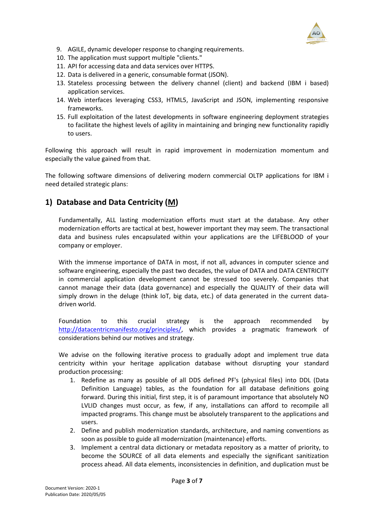

- 9. AGILE, dynamic developer response to changing requirements.
- 10. The application must support multiple "clients."
- 11. API for accessing data and data services over HTTPS.
- 12. Data is delivered in a generic, consumable format (JSON).
- 13. Stateless processing between the delivery channel (client) and backend (IBM i based) application services.
- 14. Web interfaces leveraging CSS3, HTML5, JavaScript and JSON, implementing responsive frameworks.
- 15. Full exploitation of the latest developments in software engineering deployment strategies to facilitate the highest levels of agility in maintaining and bringing new functionality rapidly to users.

Following this approach will result in rapid improvement in modernization momentum and especially the value gained from that.

The following software dimensions of delivering modern commercial OLTP applications for IBM i need detailed strategic plans:

#### **1) Database and Data Centricity (M)**

Fundamentally, ALL lasting modernization efforts must start at the database. Any other modernization efforts are tactical at best, however important they may seem. The transactional data and business rules encapsulated within your applications are the LIFEBLOOD of your company or employer.

With the immense importance of DATA in most, if not all, advances in computer science and software engineering, especially the past two decades, the value of DATA and DATA CENTRICITY in commercial application development cannot be stressed too severely. Companies that cannot manage their data (data governance) and especially the QUALITY of their data will simply drown in the deluge (think IoT, big data, etc.) of data generated in the current datadriven world.

Foundation to this crucial strategy is the approach recommended by [http://datacentricmanifesto.org/principles/,](http://datacentricmanifesto.org/principles/) which provides a pragmatic framework of considerations behind our motives and strategy.

We advise on the following iterative process to gradually adopt and implement true data centricity within your heritage application database without disrupting your standard production processing:

- 1. Redefine as many as possible of all DDS defined PF's (physical files) into DDL (Data Definition Language) tables, as the foundation for all database definitions going forward. During this initial, first step, it is of paramount importance that absolutely NO LVLID changes must occur, as few, if any, installations can afford to recompile all impacted programs. This change must be absolutely transparent to the applications and users.
- 2. Define and publish modernization standards, architecture, and naming conventions as soon as possible to guide all modernization (maintenance) efforts.
- 3. Implement a central data dictionary or metadata repository as a matter of priority, to become the SOURCE of all data elements and especially the significant sanitization process ahead. All data elements, inconsistencies in definition, and duplication must be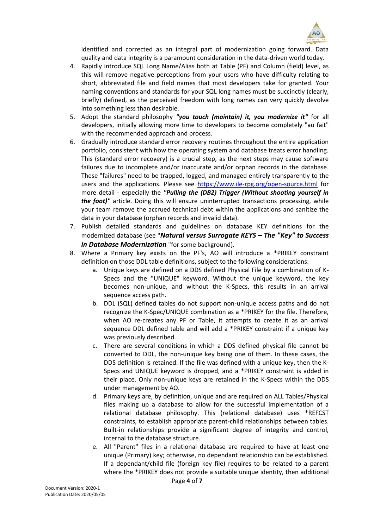

identified and corrected as an integral part of modernization going forward. Data quality and data integrity is a paramount consideration in the data-driven world today.

- 4. Rapidly introduce SQL Long Name/Alias both at Table (PF) and Column (field) level, as this will remove negative perceptions from your users who have difficulty relating to short, abbreviated file and field names that most developers take for granted. Your naming conventions and standards for your SQL long names must be succinctly (clearly, briefly) defined, as the perceived freedom with long names can very quickly devolve into something less than desirable.
- 5. Adopt the standard philosophy *"you touch (maintain) it, you modernize it"* for all developers, initially allowing more time to developers to become completely "au fait" with the recommended approach and process.
- 6. Gradually introduce standard error recovery routines throughout the entire application portfolio, consistent with how the operating system and database treats error handling. This (standard error recovery) is a crucial step, as the next steps may cause software failures due to incomplete and/or inaccurate and/or orphan records in the database. These "failures" need to be trapped, logged, and managed entirely transparently to the users and the applications. Please see<https://www.ile-rpg.org/open-source.html> for more detail - especially the *"Pulling the (DB2) Trigger (Without shooting yourself in the foot)"* article. Doing this will ensure uninterrupted transactions processing, while your team remove the accrued technical debt within the applications and sanitize the data in your database (orphan records and invalid data).
- 7. Publish detailed standards and guidelines on database KEY definitions for the modernized database (see "*Natural versus Surrogate KEYS – The "Key" to Success in Database Modernization* "for some background).
- 8. Where a Primary key exists on the PF's, AO will introduce a \*PRIKEY constraint definition on those DDL table definitions, subject to the following considerations:
	- a. Unique keys are defined on a DDS defined Physical File by a combination of K-Specs and the "UNIQUE" keyword. Without the unique keyword, the key becomes non-unique, and without the K-Specs, this results in an arrival sequence access path.
	- b. DDL (SQL) defined tables do not support non-unique access paths and do not recognize the K-Spec/UNIQUE combination as a \*PRIKEY for the file. Therefore, when AO re-creates any PF or Table, it attempts to create it as an arrival sequence DDL defined table and will add a \*PRIKEY constraint if a unique key was previously described.
	- c. There are several conditions in which a DDS defined physical file cannot be converted to DDL, the non-unique key being one of them. In these cases, the DDS definition is retained. If the file was defined with a unique key, then the K-Specs and UNIQUE keyword is dropped, and a \*PRIKEY constraint is added in their place. Only non-unique keys are retained in the K-Specs within the DDS under management by AO.
	- d. Primary keys are, by definition, unique and are required on ALL Tables/Physical files making up a database to allow for the successful implementation of a relational database philosophy. This (relational database) uses \*REFCST constraints, to establish appropriate parent-child relationships between tables. Built-in relationships provide a significant degree of integrity and control, internal to the database structure.
	- e. All "Parent" files in a relational database are required to have at least one unique (Primary) key; otherwise, no dependant relationship can be established. If a dependant/child file (foreign key file) requires to be related to a parent where the \*PRIKEY does not provide a suitable unique identity, then additional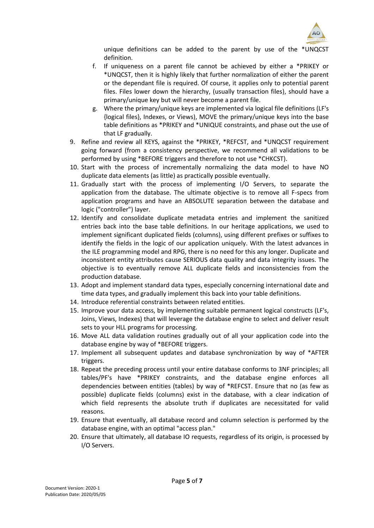

unique definitions can be added to the parent by use of the \*UNQCST definition.

- f. If uniqueness on a parent file cannot be achieved by either a \*PRIKEY or \*UNQCST, then it is highly likely that further normalization of either the parent or the dependant file is required. Of course, it applies only to potential parent files. Files lower down the hierarchy, (usually transaction files), should have a primary/unique key but will never become a parent file.
- g. Where the primary/unique keys are implemented via logical file definitions (LF's {logical files}, Indexes, or Views), MOVE the primary/unique keys into the base table definitions as \*PRIKEY and \*UNIQUE constraints, and phase out the use of that LF gradually.
- 9. Refine and review all KEYS, against the \*PRIKEY, \*REFCST, and \*UNQCST requirement going forward (from a consistency perspective, we recommend all validations to be performed by using \*BEFORE triggers and therefore to not use \*CHKCST).
- 10. Start with the process of incrementally normalizing the data model to have NO duplicate data elements (as little) as practically possible eventually.
- 11. Gradually start with the process of implementing I/O Servers, to separate the application from the database. The ultimate objective is to remove all F-specs from application programs and have an ABSOLUTE separation between the database and logic ("controller") layer.
- 12. Identify and consolidate duplicate metadata entries and implement the sanitized entries back into the base table definitions. In our heritage applications, we used to implement significant duplicated fields (columns), using different prefixes or suffixes to identify the fields in the logic of our application uniquely. With the latest advances in the ILE programming model and RPG, there is no need for this any longer. Duplicate and inconsistent entity attributes cause SERIOUS data quality and data integrity issues. The objective is to eventually remove ALL duplicate fields and inconsistencies from the production database.
- 13. Adopt and implement standard data types, especially concerning international date and time data types, and gradually implement this back into your table definitions.
- 14. Introduce referential constraints between related entities.
- 15. Improve your data access, by implementing suitable permanent logical constructs (LF's, Joins, Views, Indexes) that will leverage the database engine to select and deliver result sets to your HLL programs for processing.
- 16. Move ALL data validation routines gradually out of all your application code into the database engine by way of \*BEFORE triggers.
- 17. Implement all subsequent updates and database synchronization by way of \*AFTER triggers.
- 18. Repeat the preceding process until your entire database conforms to 3NF principles; all tables/PF's have \*PRIKEY constraints, and the database engine enforces all dependencies between entities (tables) by way of \*REFCST. Ensure that no (as few as possible) duplicate fields (columns) exist in the database, with a clear indication of which field represents the absolute truth if duplicates are necessitated for valid reasons.
- 19. Ensure that eventually, all database record and column selection is performed by the database engine, with an optimal "access plan."
- 20. Ensure that ultimately, all database IO requests, regardless of its origin, is processed by I/O Servers.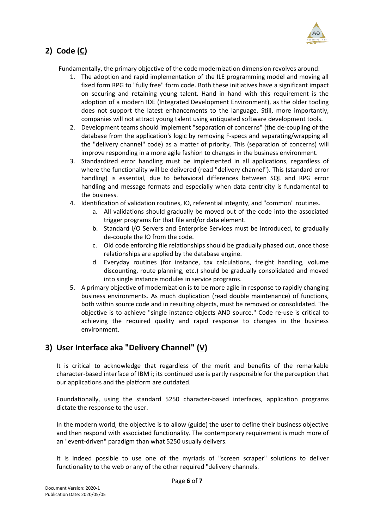

# **2) Code (C)**

Fundamentally, the primary objective of the code modernization dimension revolves around:

- 1. The adoption and rapid implementation of the ILE programming model and moving all fixed form RPG to "fully free" form code. Both these initiatives have a significant impact on securing and retaining young talent. Hand in hand with this requirement is the adoption of a modern IDE (Integrated Development Environment), as the older tooling does not support the latest enhancements to the language. Still, more importantly, companies will not attract young talent using antiquated software development tools.
- 2. Development teams should implement "separation of concerns" (the de-coupling of the database from the application's logic by removing F-specs and separating/wrapping all the "delivery channel" code) as a matter of priority. This (separation of concerns) will improve responding in a more agile fashion to changes in the business environment.
- 3. Standardized error handling must be implemented in all applications, regardless of where the functionality will be delivered (read "delivery channel"). This (standard error handling) is essential, due to behavioral differences between SQL and RPG error handling and message formats and especially when data centricity is fundamental to the business.
- 4. Identification of validation routines, IO, referential integrity, and "common" routines.
	- a. All validations should gradually be moved out of the code into the associated trigger programs for that file and/or data element.
	- b. Standard I/O Servers and Enterprise Services must be introduced, to gradually de-couple the IO from the code.
	- c. Old code enforcing file relationships should be gradually phased out, once those relationships are applied by the database engine.
	- d. Everyday routines (for instance, tax calculations, freight handling, volume discounting, route planning, etc.) should be gradually consolidated and moved into single instance modules in service programs.
- 5. A primary objective of modernization is to be more agile in response to rapidly changing business environments. As much duplication (read double maintenance) of functions, both within source code and in resulting objects, must be removed or consolidated. The objective is to achieve "single instance objects AND source." Code re-use is critical to achieving the required quality and rapid response to changes in the business environment.

## **3) User Interface aka "Delivery Channel" (V)**

It is critical to acknowledge that regardless of the merit and benefits of the remarkable character-based interface of IBM i; its continued use is partly responsible for the perception that our applications and the platform are outdated.

Foundationally, using the standard 5250 character-based interfaces, application programs dictate the response to the user.

In the modern world, the objective is to allow (guide) the user to define their business objective and then respond with associated functionality. The contemporary requirement is much more of an "event-driven" paradigm than what 5250 usually delivers.

It is indeed possible to use one of the myriads of "screen scraper" solutions to deliver functionality to the web or any of the other required "delivery channels.